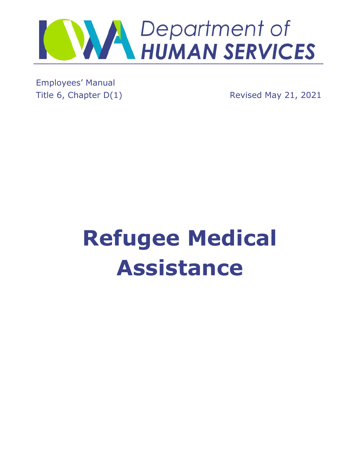

Employees' Manual

Title 6, Chapter D(1) Revised May 21, 2021

# **Refugee Medical Assistance**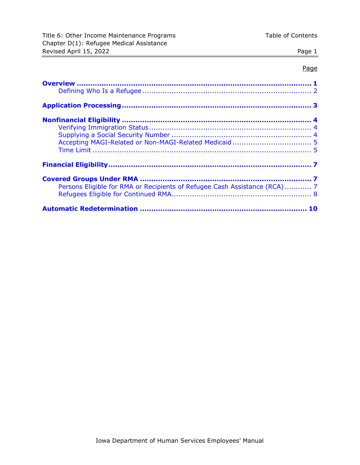#### Page

| Persons Eligible for RMA or Recipients of Refugee Cash Assistance (RCA) 7 |  |
|---------------------------------------------------------------------------|--|
|                                                                           |  |
|                                                                           |  |
|                                                                           |  |
|                                                                           |  |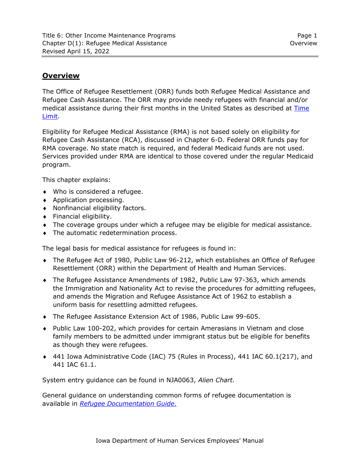# <span id="page-2-0"></span>**Overview**

The Office of Refugee Resettlement (ORR) funds both Refugee Medical Assistance and Refugee Cash Assistance. The ORR may provide needy refugees with financial and/or medical assistance during their first months in the United States as described at [Time](#page-6-1)  [Limit.](#page-6-1)

Eligibility for Refugee Medical Assistance (RMA) is not based solely on eligibility for Refugee Cash Assistance (RCA), discussed in Chapter 6-D. Federal ORR funds pay for RMA coverage. No state match is required, and federal Medicaid funds are not used. Services provided under RMA are identical to those covered under the regular Medicaid program.

This chapter explains:

- Who is considered a refugee.
- ◆ Application processing.
- Nonfinancial eligibility factors.
- Financial eligibility.
- The coverage groups under which a refugee may be eligible for medical assistance.
- The automatic redetermination process.

The legal basis for medical assistance for refugees is found in:

- The Refugee Act of 1980, Public Law 96-212, which establishes an Office of Refugee Resettlement (ORR) within the Department of Health and Human Services.
- The Refugee Assistance Amendments of 1982, Public Law 97-363, which amends the Immigration and Nationality Act to revise the procedures for admitting refugees, and amends the Migration and Refugee Assistance Act of 1962 to establish a uniform basis for resettling admitted refugees.
- The Refugee Assistance Extension Act of 1986, Public Law 99-605.
- Public Law 100-202, which provides for certain Amerasians in Vietnam and close family members to be admitted under immigrant status but be eligible for benefits as though they were refugees.
- 441 Iowa Administrative Code (IAC) 75 (Rules in Process), 441 IAC 60.1(217), and 441 IAC 61.1.

System entry guidance can be found in NJA0063, *Alien Chart.*

General guidance on understanding common forms of refugee documentation is available in *[Refugee Documentation](http://dhssp/fo/IM/IMTA/_layouts/15/DocIdRedir.aspx?ID=CNCUKAZWQ4ZK-1106-302) Guide*.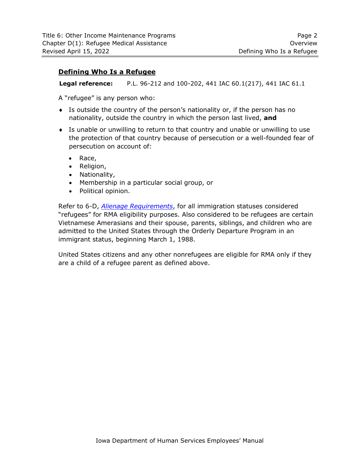#### <span id="page-3-0"></span>**Defining Who Is a Refugee**

**Legal reference:** P.L. 96-212 and 100-202, 441 IAC 60.1(217), 441 IAC 61.1

A "refugee" is any person who:

- Is outside the country of the person's nationality or, if the person has no nationality, outside the country in which the person last lived, **and**
- Is unable or unwilling to return to that country and unable or unwilling to use the protection of that country because of persecution or a well-founded fear of persecution on account of:
	- Race,
	- Religion,
	- Nationality,
	- Membership in a particular social group, or
	- Political opinion.

Refer to 6-D, *[Alienage Requirements](http://dhs.iowa.gov/sites/default/files/6-D.pdf)*, for all immigration statuses considered "refugees" for RMA eligibility purposes. Also considered to be refugees are certain Vietnamese Amerasians and their spouse, parents, siblings, and children who are admitted to the United States through the Orderly Departure Program in an immigrant status, beginning March 1, 1988.

United States citizens and any other nonrefugees are eligible for RMA only if they are a child of a refugee parent as defined above.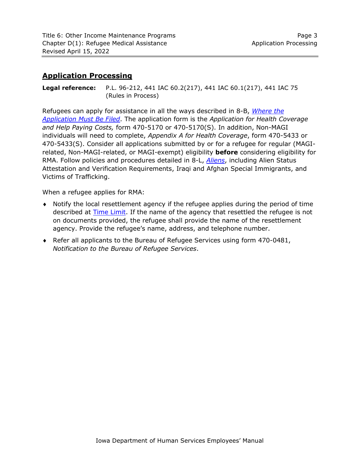# <span id="page-4-0"></span>**Application Processing**

**Legal reference:** P.L. 96-212, 441 IAC 60.2(217), 441 IAC 60.1(217), 441 IAC 75 (Rules in Process)

Refugees can apply for assistance in all the ways described in 8-B, *[Where the](http://dhs.iowa.gov/sites/default/files/8-B.pdf)  [Application Must Be Filed](http://dhs.iowa.gov/sites/default/files/8-B.pdf)*. The application form is the *Application for Health Coverage and Help Paying Costs,* form 470-5170 or 470-5170(S). In addition, Non-MAGI individuals will need to complete, *Appendix A for Health Coverage*, form 470-5433 or 470-5433(S). Consider all applications submitted by or for a refugee for regular (MAGIrelated, Non-MAGI-related, or MAGI-exempt) eligibility **before** considering eligibility for RMA. Follow policies and procedures detailed in 8-L, *[Aliens](https://dhs.iowa.gov/sites/default/files/8-L.pdf)*, including Alien Status Attestation and Verification Requirements, Iraqi and Afghan Special Immigrants, and Victims of Trafficking.

When a refugee applies for RMA:

- Notify the local resettlement agency if the refugee applies during the period of time described at [Time Limit.](#page-6-1) If the name of the agency that resettled the refugee is not on documents provided, the refugee shall provide the name of the resettlement agency. Provide the refugee's name, address, and telephone number.
- Refer all applicants to the Bureau of Refugee Services using form 470-0481, *Notification to the Bureau of Refugee Services*.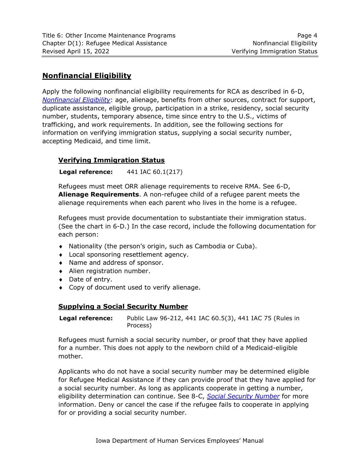# <span id="page-5-0"></span>**Nonfinancial Eligibility**

Apply the following nonfinancial eligibility requirements for RCA as described in 6-D, *[Nonfinancial Eligibility](http://dhs.iowa.gov/sites/default/files/6-D.pdf)*: age, alienage, benefits from other sources, contract for support, duplicate assistance, eligible group, participation in a strike, residency, social security number, students, temporary absence, time since entry to the U.S., victims of trafficking, and work requirements. In addition, see the following sections for information on verifying immigration status, supplying a social security number, accepting Medicaid, and time limit.

## <span id="page-5-1"></span>**Verifying Immigration Status**

#### **Legal reference:** 441 IAC 60.1(217)

Refugees must meet ORR alienage requirements to receive RMA. See 6-D, **Alienage Requirements**. A non-refugee child of a refugee parent meets the alienage requirements when each parent who lives in the home is a refugee.

Refugees must provide documentation to substantiate their immigration status. (See the chart in 6-D.) In the case record, include the following documentation for each person:

- Nationality (the person's origin, such as Cambodia or Cuba).
- Local sponsoring resettlement agency.
- Name and address of sponsor.
- Alien registration number.
- ◆ Date of entry.
- <span id="page-5-2"></span>Copy of document used to verify alienage.

#### **Supplying a Social Security Number**

**Legal reference:** Public Law 96-212, 441 IAC 60.5(3), 441 IAC 75 (Rules in Process)

Refugees must furnish a social security number, or proof that they have applied for a number. This does not apply to the newborn child of a Medicaid-eligible mother.

Applicants who do not have a social security number may be determined eligible for Refugee Medical Assistance if they can provide proof that they have applied for a social security number. As long as applicants cooperate in getting a number, eligibility determination can continue. See 8-C, *[Social Security Number](http://dhs.iowa.gov/sites/default/files/8-C.pdf)* for more information. Deny or cancel the case if the refugee fails to cooperate in applying for or providing a social security number.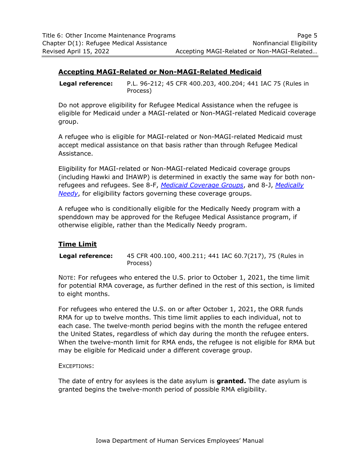#### <span id="page-6-0"></span>**Accepting MAGI-Related or Non-MAGI-Related Medicaid**

**Legal reference:** P.L. 96-212; 45 CFR 400.203, 400.204; 441 IAC 75 (Rules in Process)

Do not approve eligibility for Refugee Medical Assistance when the refugee is eligible for Medicaid under a MAGI-related or Non-MAGI-related Medicaid coverage group.

A refugee who is eligible for MAGI-related or Non-MAGI-related Medicaid must accept medical assistance on that basis rather than through Refugee Medical Assistance.

Eligibility for MAGI-related or Non-MAGI-related Medicaid coverage groups (including Hawki and IHAWP) is determined in exactly the same way for both nonrefugees and refugees. See 8-F, *[Medicaid Coverage Groups](http://dhs.iowa.gov/sites/default/files/8-F.pdf)*, and 8-J, *[Medically](http://dhs.iowa.gov/sites/default/files/8-J.pdf)  [Needy](http://dhs.iowa.gov/sites/default/files/8-J.pdf)*, for eligibility factors governing these coverage groups.

A refugee who is conditionally eligible for the Medically Needy program with a spenddown may be approved for the Refugee Medical Assistance program, if otherwise eligible, rather than the Medically Needy program.

#### <span id="page-6-1"></span>**Time Limit**

**Legal reference:** 45 CFR 400.100, 400.211; 441 IAC 60.7(217), 75 (Rules in Process)

NOTE: For refugees who entered the U.S. prior to October 1, 2021, the time limit for potential RMA coverage, as further defined in the rest of this section, is limited to eight months.

For refugees who entered the U.S. on or after October 1, 2021, the ORR funds RMA for up to twelve months. This time limit applies to each individual, not to each case. The twelve-month period begins with the month the refugee entered the United States, regardless of which day during the month the refugee enters. When the twelve-month limit for RMA ends, the refugee is not eligible for RMA but may be eligible for Medicaid under a different coverage group.

#### EXCEPTIONS:

The date of entry for asylees is the date asylum is **granted.** The date asylum is granted begins the twelve-month period of possible RMA eligibility.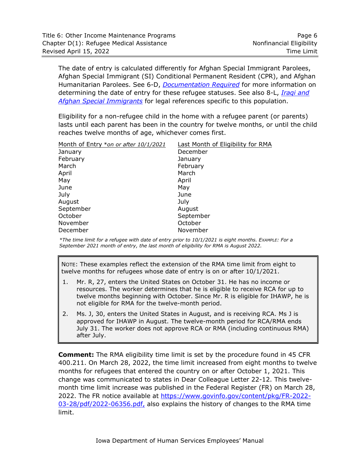The date of entry is calculated differently for Afghan Special Immigrant Parolees, Afghan Special Immigrant (SI) Conditional Permanent Resident (CPR), and Afghan Humanitarian Parolees. See 6-D, *[Documentation Required](https://dhs.iowa.gov/sites/default/files/6-D.pdf)* for more information on determining the date of entry for these refugee statuses. See also 8-L, *[Iraqi and](https://dhs.iowa.gov/sites/default/files/8-L.pdf)  [Afghan Special Immigrants](https://dhs.iowa.gov/sites/default/files/8-L.pdf)* for legal references specific to this population.

Eligibility for a non-refugee child in the home with a refugee parent (or parents) lasts until each parent has been in the country for twelve months, or until the child reaches twelve months of age, whichever comes first.

| Month of Entry *on or after 10/1/2021 | Last Month of Eligibility for RMA |
|---------------------------------------|-----------------------------------|
| January                               | December                          |
| February                              | January                           |
| March                                 | February                          |
| April                                 | March                             |
| May                                   | April                             |
| June                                  | May                               |
| July                                  | June                              |
| August                                | July                              |
| September                             | August                            |
| October                               | September                         |
| November                              | October                           |
| December                              | November                          |

*\*The time limit for a refugee with date of entry prior to 10/1/2021 is eight months. EXAMPLE: For a September 2021 month of entry, the last month of eligibility for RMA is August 2022.*

NOTE: These examples reflect the extension of the RMA time limit from eight to twelve months for refugees whose date of entry is on or after 10/1/2021.

- 1. Mr. R, 27, enters the United States on October 31. He has no income or resources. The worker determines that he is eligible to receive RCA for up to twelve months beginning with October. Since Mr. R is eligible for IHAWP, he is not eligible for RMA for the twelve-month period.
- 2. Ms. J, 30, enters the United States in August, and is receiving RCA. Ms J is approved for IHAWP in August. The twelve-month period for RCA/RMA ends July 31. The worker does not approve RCA or RMA (including continuous RMA) after July.

**Comment:** The RMA eligibility time limit is set by the procedure found in 45 CFR 400.211. On March 28, 2022, the time limit increased from eight months to twelve months for refugees that entered the country on or after October 1, 2021. This change was communicated to states in Dear Colleague Letter 22-12. This twelvemonth time limit increase was published in the Federal Register (FR) on March 28, 2022. The FR notice available at [https://www.govinfo.gov/content/pkg/FR-2022-](https://www.govinfo.gov/content/pkg/FR-2022-03-28/pdf/2022-06356.pdf) [03-28/pdf/2022-06356.pdf,](https://www.govinfo.gov/content/pkg/FR-2022-03-28/pdf/2022-06356.pdf) also explains the history of changes to the RMA time limit.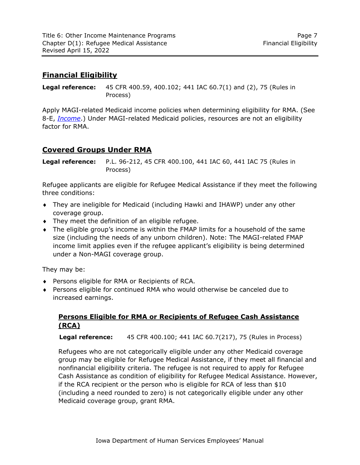# <span id="page-8-0"></span>**Financial Eligibility**

**Legal reference:** 45 CFR 400.59, 400.102; 441 IAC 60.7(1) and (2), 75 (Rules in Process)

Apply MAGI-related Medicaid income policies when determining eligibility for RMA. (See 8-E, *[Income](http://dhs.iowa.gov/sites/default/files/8-E.pdf)*.) Under MAGI-related Medicaid policies, resources are not an eligibility factor for RMA.

# <span id="page-8-1"></span>**Covered Groups Under RMA**

**Legal reference:** P.L. 96-212, 45 CFR 400.100, 441 IAC 60, 441 IAC 75 (Rules in Process)

Refugee applicants are eligible for Refugee Medical Assistance if they meet the following three conditions:

- They are ineligible for Medicaid (including Hawki and IHAWP) under any other coverage group.
- $\bullet$  They meet the definition of an eligible refugee.
- The eligible group's income is within the FMAP limits for a household of the same size (including the needs of any unborn children). Note: The MAGI-related FMAP income limit applies even if the refugee applicant's eligibility is being determined under a Non-MAGI coverage group.

They may be:

- Persons eligible for RMA or Recipients of RCA.
- <span id="page-8-2"></span> Persons eligible for continued RMA who would otherwise be canceled due to increased earnings.

## **Persons Eligible for RMA or Recipients of Refugee Cash Assistance (RCA)**

**Legal reference:** 45 CFR 400.100; 441 IAC 60.7(217), 75 (Rules in Process)

Refugees who are not categorically eligible under any other Medicaid coverage group may be eligible for Refugee Medical Assistance, if they meet all financial and nonfinancial eligibility criteria. The refugee is not required to apply for Refugee Cash Assistance as condition of eligibility for Refugee Medical Assistance. However, if the RCA recipient or the person who is eligible for RCA of less than \$10 (including a need rounded to zero) is not categorically eligible under any other Medicaid coverage group, grant RMA.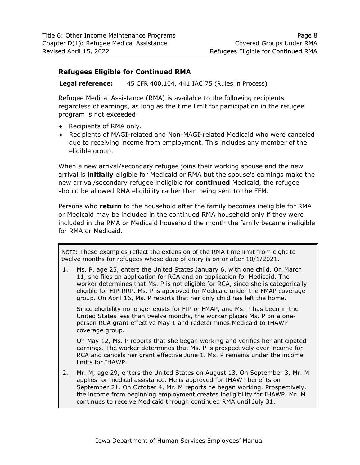### <span id="page-9-0"></span>**Refugees Eligible for Continued RMA**

**Legal reference:** 45 CFR 400.104, 441 IAC 75 (Rules in Process)

Refugee Medical Assistance (RMA) is available to the following recipients regardless of earnings, as long as the time limit for participation in the refugee program is not exceeded:

- ◆ Recipients of RMA only.
- Recipients of MAGI-related and Non-MAGI-related Medicaid who were canceled due to receiving income from employment. This includes any member of the eligible group.

When a new arrival/secondary refugee joins their working spouse and the new arrival is **initially** eligible for Medicaid or RMA but the spouse's earnings make the new arrival/secondary refugee ineligible for **continued** Medicaid, the refugee should be allowed RMA eligibility rather than being sent to the FFM.

Persons who **return** to the household after the family becomes ineligible for RMA or Medicaid may be included in the continued RMA household only if they were included in the RMA or Medicaid household the month the family became ineligible for RMA or Medicaid.

NOTE: These examples reflect the extension of the RMA time limit from eight to twelve months for refugees whose date of entry is on or after 10/1/2021.

1. Ms. P, age 25, enters the United States January 6, with one child. On March 11, she files an application for RCA and an application for Medicaid. The worker determines that Ms. P is not eligible for RCA, since she is categorically eligible for FIP-RRP. Ms. P is approved for Medicaid under the FMAP coverage group. On April 16, Ms. P reports that her only child has left the home.

Since eligibility no longer exists for FIP or FMAP, and Ms. P has been in the United States less than twelve months, the worker places Ms. P on a oneperson RCA grant effective May 1 and redetermines Medicaid to IHAWP coverage group.

On May 12, Ms. P reports that she began working and verifies her anticipated earnings. The worker determines that Ms. P is prospectively over income for RCA and cancels her grant effective June 1. Ms. P remains under the income limits for IHAWP.

2. Mr. M, age 29, enters the United States on August 13. On September 3, Mr. M applies for medical assistance. He is approved for IHAWP benefits on September 21. On October 4, Mr. M reports he began working. Prospectively, the income from beginning employment creates ineligibility for IHAWP. Mr. M continues to receive Medicaid through continued RMA until July 31.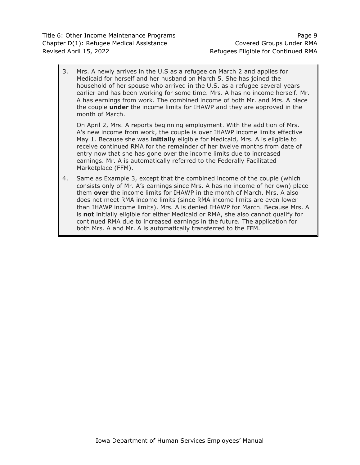3. Mrs. A newly arrives in the U.S as a refugee on March 2 and applies for Medicaid for herself and her husband on March 5. She has joined the household of her spouse who arrived in the U.S. as a refugee several years earlier and has been working for some time. Mrs. A has no income herself. Mr. A has earnings from work. The combined income of both Mr. and Mrs. A place the couple **under** the income limits for IHAWP and they are approved in the month of March.

On April 2, Mrs. A reports beginning employment. With the addition of Mrs. A's new income from work, the couple is over IHAWP income limits effective May 1. Because she was **initially** eligible for Medicaid, Mrs. A is eligible to receive continued RMA for the remainder of her twelve months from date of entry now that she has gone over the income limits due to increased earnings. Mr. A is automatically referred to the Federally Facilitated Marketplace (FFM).

4. Same as Example 3, except that the combined income of the couple (which consists only of Mr. A's earnings since Mrs. A has no income of her own) place them **over** the income limits for IHAWP in the month of March. Mrs. A also does not meet RMA income limits (since RMA income limits are even lower than IHAWP income limits). Mrs. A is denied IHAWP for March. Because Mrs. A is **not** initially eligible for either Medicaid or RMA, she also cannot qualify for continued RMA due to increased earnings in the future. The application for both Mrs. A and Mr. A is automatically transferred to the FFM.